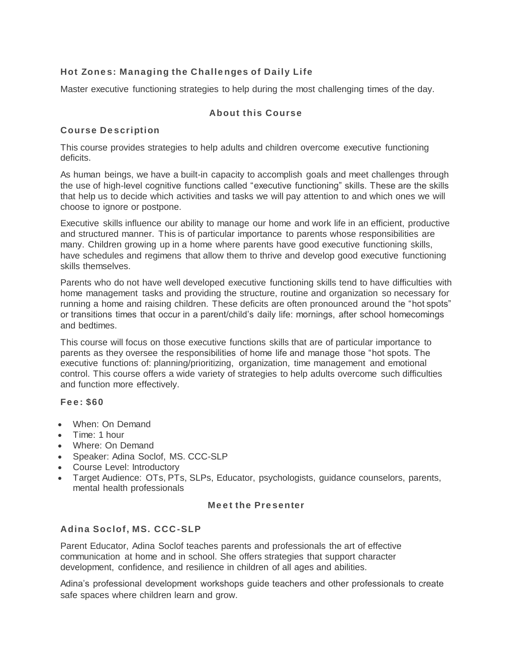# **Hot Zone s: Managing the Challe nges of Daily Life**

Master executive functioning strategies to help during the most challenging times of the day.

## **About this Course**

## **Course De scription**

This course provides strategies to help adults and children overcome executive functioning deficits.

As human beings, we have a built-in capacity to accomplish goals and meet challenges through the use of high-level cognitive functions called "executive functioning" skills. These are the skills that help us to decide which activities and tasks we will pay attention to and which ones we will choose to ignore or postpone.

Executive skills influence our ability to manage our home and work life in an efficient, productive and structured manner. This is of particular importance to parents whose responsibilities are many. Children growing up in a home where parents have good executive functioning skills, have schedules and regimens that allow them to thrive and develop good executive functioning skills themselves.

Parents who do not have well developed executive functioning skills tend to have difficulties with home management tasks and providing the structure, routine and organization so necessary for running a home and raising children. These deficits are often pronounced around the "hot spots" or transitions times that occur in a parent/child's daily life: mornings, after school homecomings and bedtimes.

This course will focus on those executive functions skills that are of particular importance to parents as they oversee the responsibilities of home life and manage those "hot spots. The executive functions of: planning/prioritizing, organization, time management and emotional control. This course offers a wide variety of strategies to help adults overcome such difficulties and function more effectively.

#### **Fe e : \$60**

- When: On Demand
- Time: 1 hour
- Where: On Demand
- Speaker: Adina Soclof, MS. CCC-SLP
- Course Level: Introductory
- Target Audience: OTs, PTs, SLPs, Educator, psychologists, guidance counselors, parents, mental health professionals

#### **Me e t the Pre senter**

# **Adina Soclof, MS. CCC-SLP**

Parent Educator, Adina Soclof teaches parents and professionals the art of effective communication at home and in school. She offers strategies that support character development, confidence, and resilience in children of all ages and abilities.

Adina's professional development workshops guide teachers and other professionals to create safe spaces where children learn and grow.